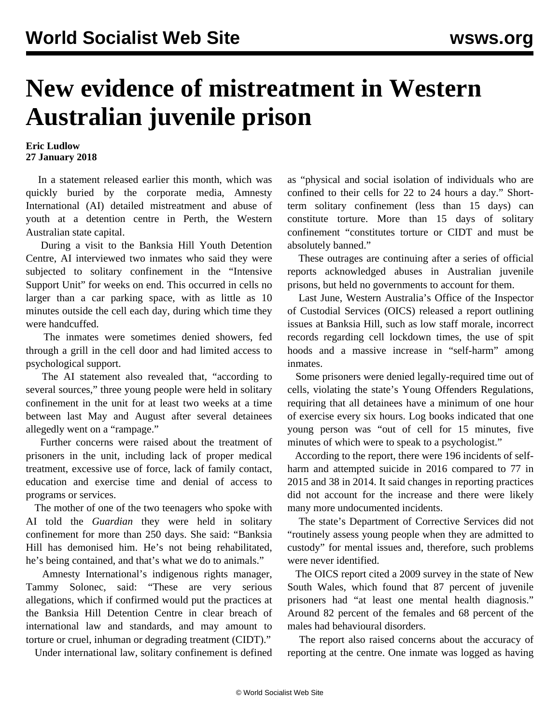## **New evidence of mistreatment in Western Australian juvenile prison**

## **Eric Ludlow 27 January 2018**

 In a statement released earlier this month, which was quickly buried by the corporate media, Amnesty International (AI) detailed mistreatment and abuse of youth at a detention centre in Perth, the Western Australian state capital.

 During a visit to the Banksia Hill Youth Detention Centre, AI interviewed two inmates who said they were subjected to solitary confinement in the "Intensive Support Unit" for weeks on end. This occurred in cells no larger than a car parking space, with as little as 10 minutes outside the cell each day, during which time they were handcuffed.

 The inmates were sometimes denied showers, fed through a grill in the cell door and had limited access to psychological support.

 The AI statement also revealed that, "according to several sources," three young people were held in solitary confinement in the unit for at least two weeks at a time between last May and August after several detainees allegedly went on a "rampage."

 Further concerns were raised about the treatment of prisoners in the unit, including lack of proper medical treatment, excessive use of force, lack of family contact, education and exercise time and denial of access to programs or services.

 The mother of one of the two teenagers who spoke with AI told the *Guardian* they were held in solitary confinement for more than 250 days. She said: "Banksia Hill has demonised him. He's not being rehabilitated, he's being contained, and that's what we do to animals."

 Amnesty International's indigenous rights manager, Tammy Solonec, said: "These are very serious allegations, which if confirmed would put the practices at the Banksia Hill Detention Centre in clear breach of international law and standards, and may amount to torture or cruel, inhuman or degrading treatment (CIDT)."

Under international law, solitary confinement is defined

as "physical and social isolation of individuals who are confined to their cells for 22 to 24 hours a day." Shortterm solitary confinement (less than 15 days) can constitute torture. More than 15 days of solitary confinement "constitutes torture or CIDT and must be absolutely banned."

 These outrages are continuing after a series of official reports acknowledged abuses in Australian juvenile prisons, but held no governments to account for them.

 Last June, Western Australia's Office of the Inspector of Custodial Services (OICS) released a report outlining issues at Banksia Hill, such as low staff morale, incorrect records regarding cell lockdown times, the use of spit hoods and a massive increase in "self-harm" among inmates.

 Some prisoners were denied legally-required time out of cells, violating the state's Young Offenders Regulations, requiring that all detainees have a minimum of one hour of exercise every six hours. Log books indicated that one young person was "out of cell for 15 minutes, five minutes of which were to speak to a psychologist."

 According to the report, there were 196 incidents of selfharm and attempted suicide in 2016 compared to 77 in 2015 and 38 in 2014. It said changes in reporting practices did not account for the increase and there were likely many more undocumented incidents.

 The state's Department of Corrective Services did not "routinely assess young people when they are admitted to custody" for mental issues and, therefore, such problems were never identified.

 The OICS report cited a 2009 survey in the state of New South Wales, which found that 87 percent of juvenile prisoners had "at least one mental health diagnosis." Around 82 percent of the females and 68 percent of the males had behavioural disorders.

 The report also raised concerns about the accuracy of reporting at the centre. One inmate was logged as having